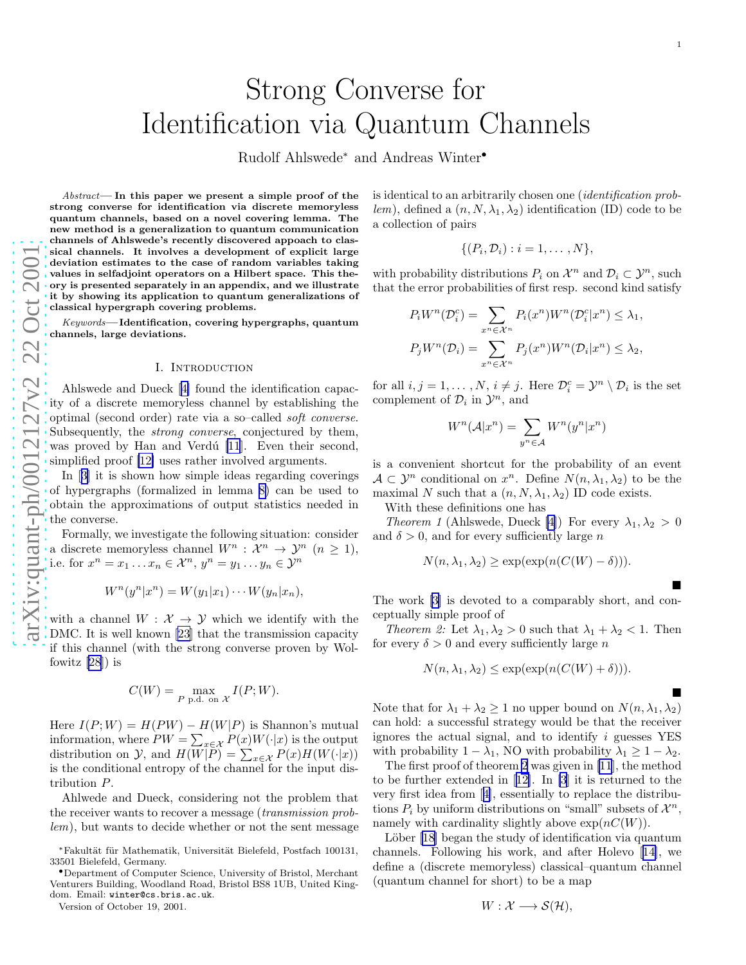$\blacksquare$ 

п

# <span id="page-0-0"></span>Strong Converse for Identification via Quantum Channels

Rudolf Ahlswede<sup>\*</sup> and Andreas Winter<sup>•</sup>

*Abstract*— In this paper we present a simple proof of the strong converse for identification via discrete memoryless quantum channels, based on a novel covering lemma. The new method is a generalization to quantum communication channels of Ahlswede's recently discovered appoach to clas sical channels. It involves a development of explicit large deviation estimates to the case of random variables taking values in selfadjoint operators on a Hilbert space. This the ory is presented separately in an appendix, and we illustrat e it by showing its application to quantum generalizations of classical hypergraph covering problems.

*Keywords*— Identification, covering hypergraphs, quantum channels, large deviations.

#### I. INTRODUCTION

Ahlswede and Dueck[[4\]](#page-9-0) found the identification capacity of a discrete memoryless channel by establishing the optimal (second order) rate via a so–called *soft converse* . Subsequently, the *strong converse*, conjectured by them, was proved by Han and Verdú [\[11](#page-9-0)]. Even their second, simplified proof [\[12\]](#page-9-0) uses rather involved arguments.

In[[3\]](#page-9-0) it is shown how simple ideas regarding coverings of hypergraphs (formalized in lemma [8\)](#page-2-0) can be used to obtain the approximations of output statistics needed in the converse.

Formally, we investigate the following situation: consider a discrete memoryless channel  $W^n$ :  $\mathcal{X}^n \to \mathcal{Y}^n$   $(n \geq 1)$ , i.e. for  $x^n = x_1 \dots x_n \in \mathcal{X}^n$ ,  $y^n = y_1 \dots y_n \in \mathcal{Y}^n$ 

$$
W^n(y^n|x^n) = W(y_1|x_1)\cdots W(y_n|x_n),
$$

with a channel  $W: \mathcal{X} \to \mathcal{Y}$  which we identify with the DMC. It is well known [\[23](#page-9-0)] that the transmission capacity if this channel (with the strong converse proven by Wolfowitz[[28](#page-10-0)]) is

$$
C(W) = \max_{P \text{ p.d. on } \mathcal{X}} I(P;W).
$$

Here  $I(P; W) = H(PW) - H(W|P)$  is Shannon's mutual information, where  $PW = \sum_{x \in \mathcal{X}} P(x)W(\cdot|x)$  is the output distribution on  $\mathcal{Y}$ , and  $H(\overline{W}|\overline{P}) = \sum_{x \in \mathcal{X}} P(x)H(W(\cdot|x))$ is the conditional entropy of the channel for the input distribution P.

Ahlwede and Dueck, considering not the problem that the receiver wants to recover a message (*transmission problem*), but wants to decide whether or not the sent message

\*Department of Computer Science, University of Bristol, Merchant Venturers Building, Woodland Road, Bristol BS8 1UB, United Kingdom. Email: winter@cs.bris.ac.uk.

Version of October 19, 2001.

is identical to an arbitrarily chosen one (*identification problem*), defined a  $(n, N, \lambda_1, \lambda_2)$  identification (ID) code to be a collection of pairs

$$
\{(P_i,\mathcal{D}_i): i=1,\ldots,N\},\
$$

with probability distributions  $P_i$  on  $\mathcal{X}^n$  and  $\mathcal{D}_i \subset \mathcal{Y}^n$ , such that the error probabilities of first resp. second kind satisfy

$$
P_i W^n(\mathcal{D}_i^c) = \sum_{x^n \in \mathcal{X}^n} P_i(x^n) W^n(\mathcal{D}_i^c | x^n) \le \lambda_1,
$$
  

$$
P_j W^n(\mathcal{D}_i) = \sum_{x^n \in \mathcal{X}^n} P_j(x^n) W^n(\mathcal{D}_i | x^n) \le \lambda_2,
$$

for all  $i, j = 1, ..., N, i \neq j$ . Here  $\mathcal{D}_i^c = \mathcal{Y}^n \setminus \mathcal{D}_i$  is the set complement of  $\mathcal{D}_i$  in  $\mathcal{Y}^n$ , and

$$
W^n(\mathcal{A}|x^n) = \sum_{y^n \in \mathcal{A}} W^n(y^n|x^n)
$$

is a convenient shortcut for the probability of an event  $A \subset \mathcal{Y}^n$  conditional on  $x^n$ . Define  $N(n, \lambda_1, \lambda_2)$  to be the maximal N such that a  $(n, N, \lambda_1, \lambda_2)$  ID code exists.

With these definitions one has

*Theorem1* (Ahlswede, Dueck [[4](#page-9-0)]) For every  $\lambda_1, \lambda_2 > 0$ and  $\delta > 0$ , and for every sufficiently large n

$$
N(n, \lambda_1, \lambda_2) \ge \exp(\exp(n(C(W) - \delta))).
$$

The work [\[3](#page-9-0)] is devoted to a comparably short, and conceptually simple proof of

*Theorem 2:* Let  $\lambda_1, \lambda_2 > 0$  such that  $\lambda_1 + \lambda_2 < 1$ . Then for every  $\delta > 0$  and every sufficiently large n

$$
N(n, \lambda_1, \lambda_2) \le \exp(\exp(n(C(W) + \delta))).
$$

Note that for  $\lambda_1 + \lambda_2 \ge 1$  no upper bound on  $N(n, \lambda_1, \lambda_2)$ can hold: a successful strategy would be that the receiver ignores the actual signal, and to identify i guesses YES with probability  $1 - \lambda_1$ , NO with probability  $\lambda_1 \geq 1 - \lambda_2$ .

The first proof of theorem 2 was given in [\[11](#page-9-0)], the method to be further extended in[[12\]](#page-9-0). In [\[3](#page-9-0)] it is returned to the very first idea from[[4\]](#page-9-0), essentially to replace the distributions  $P_i$  by uniform distributions on "small" subsets of  $\mathcal{X}^n$ , namely with cardinality slightly above  $exp(nC(W))$ .

Löber[[18\]](#page-9-0) began the study of identification via quantum channels. Following his work, and after Holevo[[14\]](#page-9-0), we define a (discrete memoryless) classical–quantum channel (quantum channel for short) to be a map

$$
W: \mathcal{X} \longrightarrow \mathcal{S}(\mathcal{H}),
$$

 $*$ Fakultät für Mathematik, Universität Bielefeld, Postfach 100131, 33501 Bielefeld, Germany.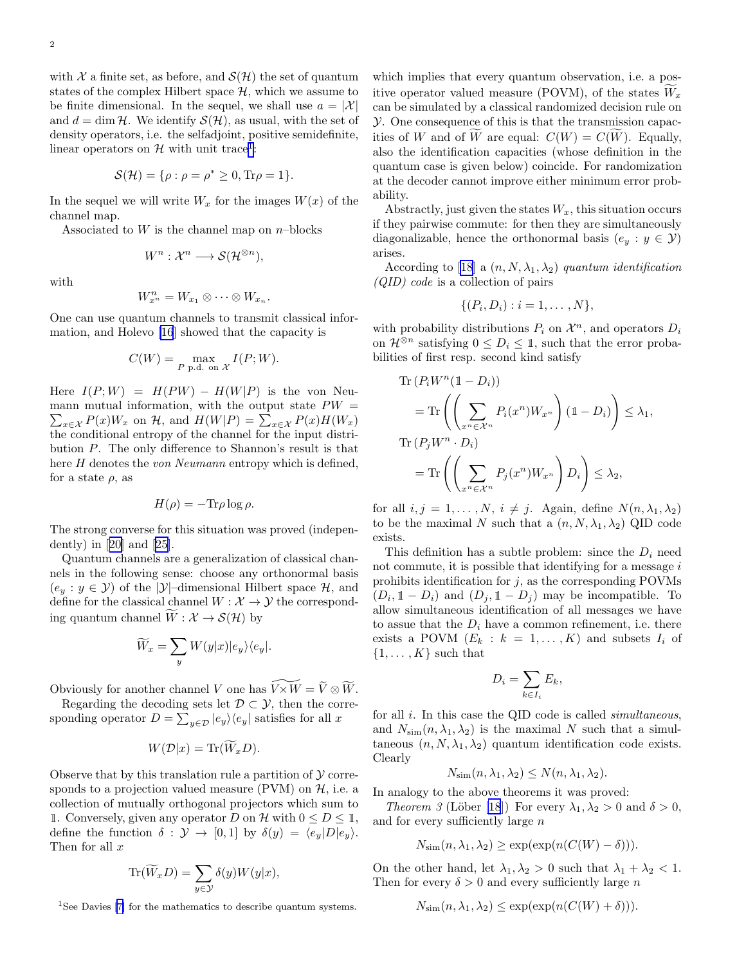with X a finite set, as before, and  $\mathcal{S}(\mathcal{H})$  the set of quantum states of the complex Hilbert space  $H$ , which we assume to be finite dimensional. In the sequel, we shall use  $a = |\mathcal{X}|$ and  $d = \dim \mathcal{H}$ . We identify  $\mathcal{S}(\mathcal{H})$ , as usual, with the set of density operators, i.e. the selfadjoint, positive semidefinite, linear operators on  $\mathcal{H}$  with unit trace<sup>1</sup>:

$$
\mathcal{S}(\mathcal{H}) = \{ \rho : \rho = \rho^* \ge 0, \text{Tr}\rho = 1 \}.
$$

In the sequel we will write  $W_x$  for the images  $W(x)$  of the channel map.

Associated to  $W$  is the channel map on  $n$ –blocks

$$
W^n: \mathcal{X}^n \longrightarrow \mathcal{S}(\mathcal{H}^{\otimes n}),
$$

with

$$
W_{x^n}^n=W_{x_1}\otimes\cdots\otimes W_{x_n}.
$$

One can use quantum channels to transmit classical information, and Holevo [\[16](#page-9-0)] showed that the capacity is

$$
C(W) = \max_{P \text{ p.d. on } X} I(P;W).
$$

Here  $I(P;W) = H(PW) - H(W|P)$  is the von Neu- $\sum_{x \in \mathcal{X}} P(x) W_x$  on H, and  $H(W|P) = \sum_{x \in \mathcal{X}} P(x) H(W_x)$ mann mutual information, with the output state  $PW =$ the conditional entropy of the channel for the input distribution P. The only difference to Shannon's result is that here H denotes the *von Neumann* entropy which is defined, for a state  $\rho$ , as

$$
H(\rho) = -\text{Tr}\rho \log \rho.
$$

The strong converse for this situation was proved (independently)in  $[20]$  $[20]$  and  $[25]$  $[25]$ .

Quantum channels are a generalization of classical channels in the following sense: choose any orthonormal basis  $(e_u : y \in Y)$  of the |Y|–dimensional Hilbert space  $\mathcal{H}$ , and define for the classical channel  $W : \mathcal{X} \to \mathcal{Y}$  the corresponding quantum channel  $\widetilde{W}: \mathcal{X} \to \mathcal{S}(\mathcal{H})$  by

$$
\widetilde{W}_x = \sum_y W(y|x)|e_y\rangle\langle e_y|.
$$

Obviously for another channel V one has  $V\times W = \widetilde{V}\otimes \widetilde{W}$ .

Regarding the decoding sets let  $\mathcal{D} \subset \mathcal{Y}$ , then the corresponding operator  $D = \sum_{y \in \mathcal{D}} |e_y\rangle\langle e_y|$  satisfies for all x

$$
W(\mathcal{D}|x) = \text{Tr}(\widetilde{W}_x D).
$$

Observe that by this translation rule a partition of  $\mathcal Y$  corresponds to a projection valued measure (PVM) on  $H$ , i.e. a collection of mutually orthogonal projectors which sum to 1. Conversely, given any operator D on H with  $0 \leq D \leq 1$ , define the function  $\delta : \mathcal{Y} \to [0,1]$  by  $\delta(y) = \langle e_y|D|e_y\rangle$ . Then for all x

$$
\text{Tr}(\widetilde{W}_x D) = \sum_{y \in \mathcal{Y}} \delta(y) W(y|x),
$$

<sup>1</sup>See Davies [\[7\]](#page-9-0) for the mathematics to describe quantum systems.

which implies that every quantum observation, i.e. a positive operator valued measure (POVM), of the states  $W_x$ can be simulated by a classical randomized decision rule on Y. One consequence of this is that the transmission capacities of W and of W are equal:  $C(W) = C(W)$ . Equally, also the identification capacities (whose definition in the quantum case is given below) coincide. For randomization at the decoder cannot improve either minimum error probability.

Abstractly, just given the states  $W_x$ , this situation occurs if they pairwise commute: for then they are simultaneously diagonalizable, hence the orthonormal basis  $(e_y : y \in \mathcal{Y})$ arises.

According to [\[18](#page-9-0)] a  $(n, N, \lambda_1, \lambda_2)$  *quantum identification (QID) code* is a collection of pairs

$$
\{(P_i, D_i): i=1,\ldots,N\},\
$$

with probability distributions  $P_i$  on  $\mathcal{X}^n$ , and operators  $D_i$ on  $\mathcal{H}^{\otimes n}$  satisfying  $0 \leq D_i \leq \mathbb{1}$ , such that the error probabilities of first resp. second kind satisfy

Tr 
$$
(P_i W^n (\mathbb{1} - D_i))
$$
  
\n
$$
= Tr \left( \left( \sum_{x^n \in \mathcal{X}^n} P_i(x^n) W_{x^n} \right) (\mathbb{1} - D_i) \right) \leq \lambda_1,
$$
\nTr  $(P_j W^n \cdot D_i)$   
\n
$$
= Tr \left( \left( \sum_{x^n \in \mathcal{X}^n} P_j(x^n) W_{x^n} \right) D_i \right) \leq \lambda_2,
$$

for all  $i, j = 1, ..., N$ ,  $i \neq j$ . Again, define  $N(n, \lambda_1, \lambda_2)$ to be the maximal N such that a  $(n, N, \lambda_1, \lambda_2)$  QID code exists.

This definition has a subtle problem: since the  $D_i$  need not commute, it is possible that identifying for a message  $i$ prohibits identification for  $j$ , as the corresponding POVMs  $(D_i, 1 - D_i)$  and  $(D_j, 1 - D_j)$  may be incompatible. To allow simultaneous identification of all messages we have to assue that the  $D_i$  have a common refinement, i.e. there exists a POVM  $(E_k : k = 1, ..., K)$  and subsets  $I_i$  of  $\{1, \ldots, K\}$  such that

$$
D_i = \sum_{k \in I_i} E_k,
$$

for all i. In this case the QID code is called *simultaneous*, and  $N_{\text{sim}}(n, \lambda_1, \lambda_2)$  is the maximal N such that a simultaneous  $(n, N, \lambda_1, \lambda_2)$  quantum identification code exists. Clearly

$$
N_{\text{sim}}(n, \lambda_1, \lambda_2) \le N(n, \lambda_1, \lambda_2).
$$

In analogy to the above theorems it was proved:

*Theorem 3* (Löber [\[18](#page-9-0)]) For every  $\lambda_1, \lambda_2 > 0$  and  $\delta > 0$ , and for every sufficiently large  $n$ 

$$
N_{\text{sim}}(n, \lambda_1, \lambda_2) \ge \exp(\exp(n(C(W) - \delta))).
$$

On the other hand, let  $\lambda_1, \lambda_2 > 0$  such that  $\lambda_1 + \lambda_2 < 1$ . Then for every  $\delta > 0$  and every sufficiently large n

$$
N_{\text{sim}}(n, \lambda_1, \lambda_2) \le \exp(\exp(n(C(W) + \delta))).
$$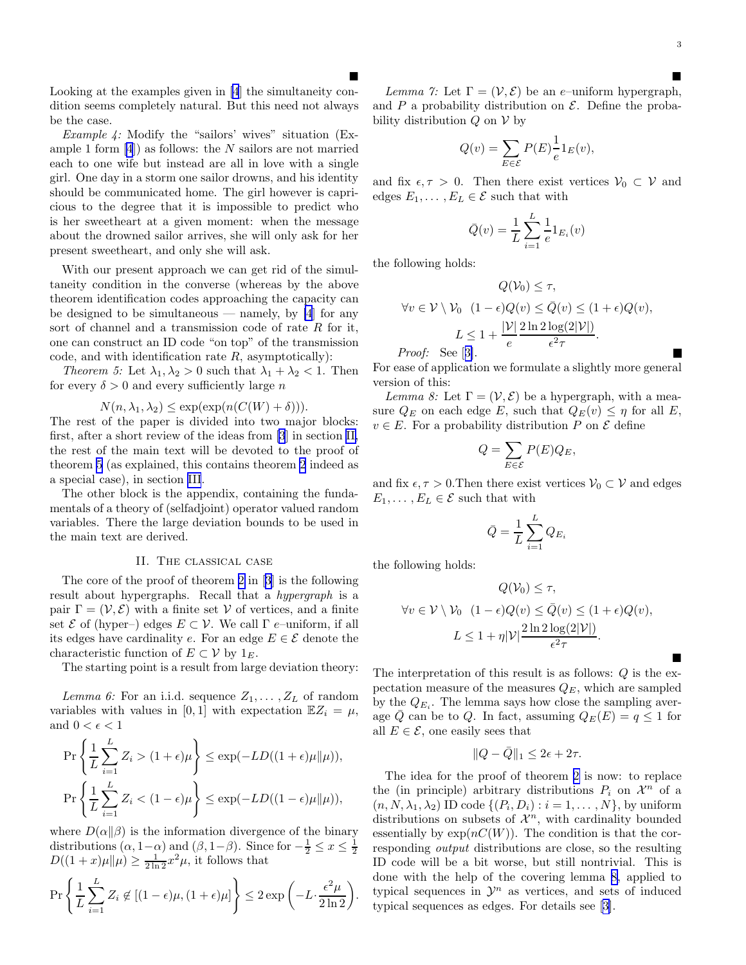$\blacksquare$ 

 $\blacksquare$ 

<span id="page-2-0"></span>Looking at the examples given in [\[4](#page-9-0)] the simultaneity condition seems completely natural. But this need not always be the case.

*Example 4:* Modify the "sailors' wives" situation (Example 1 form  $[4]$ ) as follows: the N sailors are not married each to one wife but instead are all in love with a single girl. One day in a storm one sailor drowns, and his identity should be communicated home. The girl however is capricious to the degree that it is impossible to predict who is her sweetheart at a given moment: when the message about the drowned sailor arrives, she will only ask for her present sweetheart, and only she will ask.

With our present approach we can get rid of the simultaneity condition in the converse (whereas by the above theorem identification codes approaching the capacity can be designed to be simultaneous — namely, by  $[4]$  for any sort of channel and a transmission code of rate R for it, one can construct an ID code "on top" of the transmission code, and with identification rate  $R$ , asymptotically):

*Theorem 5:* Let  $\lambda_1, \lambda_2 > 0$  such that  $\lambda_1 + \lambda_2 < 1$ . Then for every  $\delta > 0$  and every sufficiently large n

$$
N(n, \lambda_1, \lambda_2) \le \exp(\exp(n(C(W) + \delta))).
$$

The rest of the paper is divided into two major blocks: first, after a short review of the ideas from [\[3](#page-9-0)] in section II, the rest of the main text will be devoted to the proof of theorem 5 (as explained, this contains theorem [2](#page-0-0) indeed as a special case), in section [III](#page-3-0).

The other block is the appendix, containing the fundamentals of a theory of (selfadjoint) operator valued random variables. There the large deviation bounds to be used in the main text are derived.

## II. The classical case

The core of the proof of theorem [2](#page-0-0) in[[3\]](#page-9-0) is the following result about hypergraphs. Recall that a *hypergraph* is a pair  $\Gamma = (\nu, \mathcal{E})$  with a finite set V of vertices, and a finite set  $\mathcal E$  of (hyper–) edges  $E \subset \mathcal V$ . We call  $\Gamma$  e–uniform, if all its edges have cardinality e. For an edge  $E \in \mathcal{E}$  denote the characteristic function of  $E \subset V$  by  $1_E$ .

The starting point is a result from large deviation theory:

*Lemma 6:* For an i.i.d. sequence  $Z_1, \ldots, Z_L$  of random variables with values in [0, 1] with expectation  $\mathbb{E}Z_i = \mu$ , and  $0 < \epsilon < 1$ 

$$
\Pr\left\{\frac{1}{L}\sum_{i=1}^{L} Z_i > (1+\epsilon)\mu\right\} \le \exp(-LD((1+\epsilon)\mu\|\mu)),
$$
  

$$
\Pr\left\{\frac{1}{L}\sum_{i=1}^{L} Z_i < (1-\epsilon)\mu\right\} \le \exp(-LD((1-\epsilon)\mu\|\mu)),
$$

where  $D(\alpha||\beta)$  is the information divergence of the binary distributions  $(\alpha, 1-\alpha)$  and  $(\beta, 1-\beta)$ . Since for  $-\frac{1}{2} \leq x \leq \frac{1}{2}$  $D((1+x)\mu\|\mu) \ge \frac{1}{2\ln 2}x^2\mu$ , it follows that

$$
\Pr\left\{\frac{1}{L}\sum_{i=1}^{L}Z_i \notin [(1-\epsilon)\mu, (1+\epsilon)\mu] \right\} \le 2\exp\left(-L\cdot\frac{\epsilon^2\mu}{2\ln 2}\right).
$$

*Lemma 7:* Let  $\Gamma = (\mathcal{V}, \mathcal{E})$  be an e-uniform hypergraph, and P a probability distribution on  $\mathcal{E}$ . Define the probability distribution  $Q$  on  $V$  by

$$
Q(v) = \sum_{E \in \mathcal{E}} P(E) \frac{1}{e} 1_E(v),
$$

and fix  $\epsilon, \tau > 0$ . Then there exist vertices  $\mathcal{V}_0 \subset \mathcal{V}$  and edges  $E_1, \ldots, E_L \in \mathcal{E}$  such that with

$$
\bar{Q}(v) = \frac{1}{L} \sum_{i=1}^{L} \frac{1}{e} 1_{E_i}(v)
$$

the following holds:

 $\blacksquare$ 

$$
Q(\mathcal{V}_0) \leq \tau,
$$
  
\n
$$
\forall v \in \mathcal{V} \setminus \mathcal{V}_0 \quad (1 - \epsilon) Q(v) \leq \bar{Q}(v) \leq (1 + \epsilon) Q(v),
$$
  
\n
$$
L \leq 1 + \frac{|\mathcal{V}|}{e} \frac{2 \ln 2 \log(2|\mathcal{V}|)}{\epsilon^2 \tau}.
$$
  
\n*Proof:* See [3].

For ease of application we formulate a slightly more general version of this:

*Lemma 8:* Let  $\Gamma = (\mathcal{V}, \mathcal{E})$  be a hypergraph, with a measure  $Q_E$  on each edge E, such that  $Q_E(v) \leq \eta$  for all E,  $v \in E$ . For a probability distribution P on  $\mathcal E$  define

$$
Q = \sum_{E \in \mathcal{E}} P(E) Q_E,
$$

and fix  $\epsilon, \tau > 0$ . Then there exist vertices  $\mathcal{V}_0 \subset \mathcal{V}$  and edges  $E_1, \ldots, E_L \in \mathcal{E}$  such that with

$$
\bar{Q} = \frac{1}{L} \sum_{i=1}^{L} Q_{E_i}
$$

the following holds:

$$
Q(\mathcal{V}_0) \leq \tau,
$$
  
\n
$$
\forall v \in \mathcal{V} \setminus \mathcal{V}_0 \quad (1 - \epsilon) Q(v) \leq \bar{Q}(v) \leq (1 + \epsilon) Q(v),
$$
  
\n
$$
L \leq 1 + \eta |\mathcal{V}| \frac{2 \ln 2 \log(2|\mathcal{V}|)}{\epsilon^2 \tau}.
$$

The interpretation of this result is as follows: Q is the expectation measure of the measures  $Q_E$ , which are sampled by the  $Q_{E_i}$ . The lemma says how close the sampling average Q can be to Q. In fact, assuming  $Q_E(E) = q \leq 1$  for all  $E \in \mathcal{E}$ , one easily sees that

$$
||Q - \bar{Q}||_1 \leq 2\epsilon + 2\tau.
$$

The idea for the proof of theorem [2](#page-0-0) is now: to replace the (in principle) arbitrary distributions  $P_i$  on  $\mathcal{X}^n$  of a  $(n, N, \lambda_1, \lambda_2)$  ID code  $\{(P_i, D_i) : i = 1, \dots, N\}$ , by uniform distributions on subsets of  $\mathcal{X}^n$ , with cardinality bounded essentially by  $\exp(nC(W))$ . The condition is that the corresponding *output* distributions are close, so the resulting ID code will be a bit worse, but still nontrivial. This is done with the help of the covering lemma 8, applied to typical sequences in  $\mathcal{Y}^n$  as vertices, and sets of induced typical sequences as edges. For details see[[3](#page-9-0)].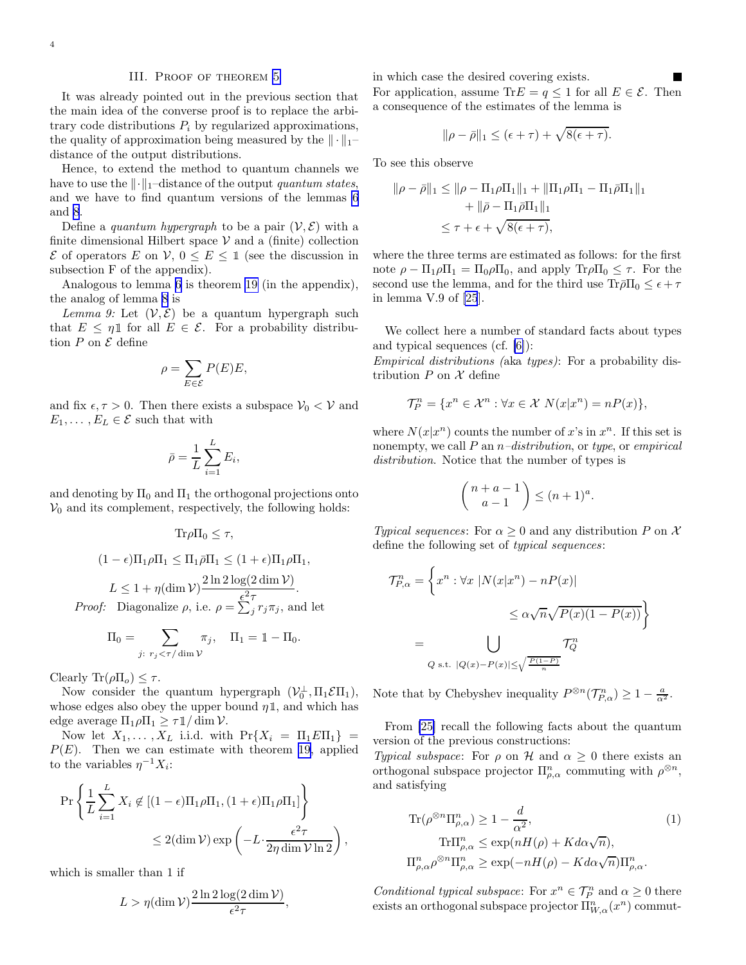## III. Proof of theorem [5](#page-2-0)

<span id="page-3-0"></span>It was already pointed out in the previous section that the main idea of the converse proof is to replace the arbitrary code distributions  $P_i$  by regularized approximations, the quality of approximation being measured by the  $\|\cdot\|_{1}$ – distance of the output distributions.

Hence, to extend the method to quantum channels we have to use the  $\lVert \cdot \rVert_1$ –distance of the output *quantum states*, and we have to find quantum versions of the lemmas [6](#page-2-0) and [8](#page-2-0).

Define a *quantum hypergraph* to be a pair  $(V, \mathcal{E})$  with a finite dimensional Hilbert space  $V$  and a (finite) collection  $\mathcal E$  of operators E on  $\mathcal V$ ,  $0 \leq E \leq \mathbbm{1}$  (see the discussion in subsection F of the appendix).

Analogous to lemma [6](#page-2-0) is theorem [19](#page-6-0) (in the appendix), the analog of lemma [8](#page-2-0) is

*Lemma 9:* Let  $(V, \mathcal{E})$  be a quantum hypergraph such that  $E \leq \eta \mathbb{1}$  for all  $E \in \mathcal{E}$ . For a probability distribution  $P$  on  $\mathcal E$  define

$$
\rho = \sum_{E \in \mathcal{E}} P(E)E,
$$

and fix  $\epsilon, \tau > 0$ . Then there exists a subspace  $\mathcal{V}_0 < \mathcal{V}$  and  $E_1, \ldots, E_L \in \mathcal{E}$  such that with

$$
\bar{\rho} = \frac{1}{L} \sum_{i=1}^{L} E_i,
$$

and denoting by  $\Pi_0$  and  $\Pi_1$  the orthogonal projections onto  $V_0$  and its complement, respectively, the following holds:

$$
\text{Tr}\rho\Pi_0\leq\tau,
$$

$$
(1 - \epsilon)\Pi_1 \rho \Pi_1 \leq \Pi_1 \bar{\rho} \Pi_1 \leq (1 + \epsilon)\Pi_1 \rho \Pi_1,
$$
  
\n
$$
L \leq 1 + \eta(\dim \mathcal{V}) \frac{2 \ln 2 \log(2 \dim \mathcal{V})}{\epsilon^2 \tau}.
$$
  
\n*Proof:* Diagonalize  $\rho$ , i.e.  $\rho = \sum_j^{\epsilon^2} r_j \pi_j$ , and let

$$
\Pi_0 = \sum_{j: r_j < \tau / \dim \mathcal{V}} \pi_j, \quad \Pi_1 = \mathbb{1} - \Pi_0.
$$

Clearly Tr( $\rho\Pi_o$ )  $\leq \tau$ .

Now consider the quantum hypergraph  $(\mathcal{V}_0^{\perp}, \Pi_1 \mathcal{E} \Pi_1)$ , whose edges also obey the upper bound  $\eta$ <sup>1</sup>, and which has edge average  $\Pi_1 \rho \Pi_1 \geq \tau \mathbb{1}/\dim \mathcal{V}$ .

Now let  $X_1, \ldots, X_L$  i.i.d. with  $\Pr\{X_i = \Pi_1 E \Pi_1\}$  =  $P(E)$ . Then we can estimate with theorem [19,](#page-6-0) applied to the variables  $\eta^{-1}X_i$ :

$$
\Pr\left\{\frac{1}{L}\sum_{i=1}^{L} X_i \notin [(1-\epsilon)\Pi_1\rho\Pi_1, (1+\epsilon)\Pi_1\rho\Pi_1] \right\}
$$
  

$$
\leq 2(\dim \mathcal{V}) \exp\left(-L \cdot \frac{\epsilon^2 \tau}{2\eta \dim \mathcal{V} \ln 2}\right),
$$

which is smaller than 1 if

$$
L > \eta(\dim \mathcal{V}) \frac{2 \ln 2 \log(2 \dim \mathcal{V})}{\epsilon^2 \tau},
$$

in which case the desired covering exists.

For application, assume Tr $E = q \leq 1$  for all  $E \in \mathcal{E}$ . Then a consequence of the estimates of the lemma is

$$
\|\rho - \bar{\rho}\|_1 \le (\epsilon + \tau) + \sqrt{8(\epsilon + \tau)}.
$$

To see this observe

$$
\|\rho - \bar{\rho}\|_1 \le \|\rho - \Pi_1 \rho \Pi_1\|_1 + \|\Pi_1 \rho \Pi_1 - \Pi_1 \bar{\rho} \Pi_1\|_1
$$
  
+ 
$$
\|\bar{\rho} - \Pi_1 \bar{\rho} \Pi_1\|_1
$$
  

$$
\le \tau + \epsilon + \sqrt{8(\epsilon + \tau)},
$$

where the three terms are estimated as follows: for the first note  $\rho - \Pi_1 \rho \Pi_1 = \Pi_0 \rho \Pi_0$ , and apply  $\text{Tr} \rho \Pi_0 \leq \tau$ . For the second use the lemma, and for the third use  $\text{Tr}\bar{\rho}\Pi_0 \leq \epsilon + \tau$ in lemma V.9 of [\[25](#page-9-0)].

We collect here a number of standard facts about types and typical sequences (cf. [\[6\]](#page-9-0)):

*Empirical distributions (*aka *types)*: For a probability distribution  $P$  on  $\mathcal X$  define

$$
\mathcal{T}_P^n = \{x^n \in \mathcal{X}^n : \forall x \in \mathcal{X} \ N(x|x^n) = nP(x)\},\
$$

where  $N(x|x^n)$  counts the number of x's in  $x^n$ . If this set is nonempty, we call P an n*–distribution*, or *type*, or *empirical distribution*. Notice that the number of types is

$$
\binom{n+a-1}{a-1} \le (n+1)^a.
$$

*Typical sequences*: For  $\alpha > 0$  and any distribution P on X define the following set of *typical sequences*:

$$
\mathcal{T}_{P,\alpha}^{n} = \left\{ x^{n} : \forall x \ |N(x|x^{n}) - nP(x)|
$$

$$
\leq \alpha \sqrt{n} \sqrt{P(x)(1 - P(x))} \right\}
$$

$$
= \bigcup_{Q \text{ s.t. } |Q(x) - P(x)| \leq \sqrt{\frac{P(1 - P)}{n}}}
$$

Note that by Chebyshev inequality  $P^{\otimes n}(\mathcal{T}_{P,\alpha}^n) \geq 1 - \frac{a}{\alpha^2}$ .

From [\[25\]](#page-9-0) recall the following facts about the quantum version of the previous constructions:

*Typical subspace*: For  $\rho$  on H and  $\alpha \geq 0$  there exists an orthogonal subspace projector  $\Pi_{\rho,\alpha}^n$  commuting with  $\rho^{\otimes n}$ , and satisfying

$$
\operatorname{Tr}(\rho^{\otimes n} \Pi_{\rho,\alpha}^{n}) \ge 1 - \frac{d}{\alpha^{2}},
$$
\n
$$
\operatorname{Tr} \Pi_{\rho,\alpha}^{n} \le \exp(nH(\rho) + K d\alpha \sqrt{n}),
$$
\n
$$
\Pi_{\rho,\alpha}^{n} \rho^{\otimes n} \Pi_{\rho,\alpha}^{n} \ge \exp(-nH(\rho) - K d\alpha \sqrt{n}) \Pi_{\rho,\alpha}^{n}.
$$
\n(1)

*Conditional typical subspace*: For  $x^n \in \mathcal{T}_P^n$  and  $\alpha \geq 0$  there exists an orthogonal subspace projector  $\Pi_{W,\alpha}^n(x^n)$  commut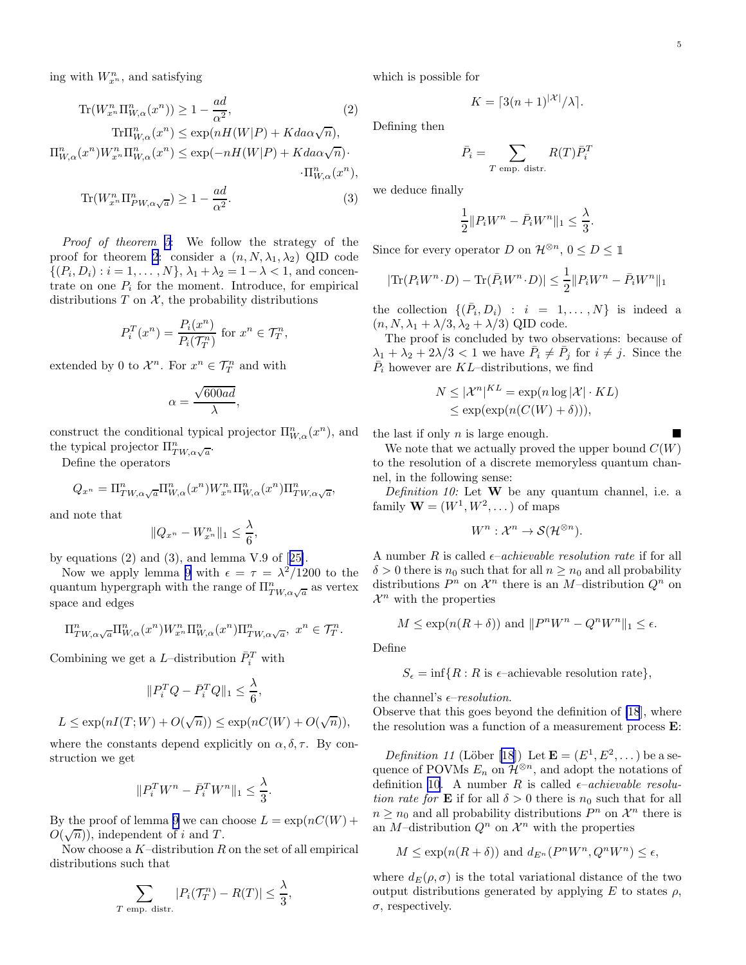ing with  $W_{x^n}^n$ , and satisfying

$$
\operatorname{Tr}(W_{x^n}^n \Pi_{W,\alpha}^n(x^n)) \ge 1 - \frac{ad}{\alpha^2},\tag{2}
$$

$$
\operatorname{Tr}\Pi_{W,\alpha}^n(x^n) \le \exp(nH(W|P) + Kda\alpha\sqrt{n}),
$$

$$
\Pi_{W,\alpha}^n(x^n)W_{x^n}^n \Pi_{W,\alpha}^n(x^n) \le \exp(-nH(W|P) + Kda\alpha\sqrt{n}).
$$

$$
\cdot \Pi_{W,\alpha}^n (x^n),
$$

$$
\text{Tr}(W_{x^n}^n \Pi_{PW,\alpha\sqrt{a}}^n) \ge 1 - \frac{ad}{\alpha^2}.\tag{3}
$$

*Proof of theorem [5](#page-2-0)*: We follow the strategy of the proof for theorem [2](#page-0-0): consider a  $(n, N, \lambda_1, \lambda_2)$  QID code  $\{(P_i, D_i) : i = 1, \dots, N\}, \lambda_1 + \lambda_2 = 1 - \lambda < 1$ , and concentrate on one  $P_i$  for the moment. Introduce, for empirical distributions  $T$  on  $\mathcal{X}$ , the probability distributions

$$
P_i^T(x^n) = \frac{P_i(x^n)}{P_i(\mathcal{T}_T^n)} \text{ for } x^n \in \mathcal{T}_T^n,
$$

extended by 0 to  $\mathcal{X}^n$ . For  $x^n \in \mathcal{T}_T^n$  and with

$$
\alpha = \frac{\sqrt{600ad}}{\lambda},
$$

construct the conditional typical projector  $\Pi_{W,\alpha}^n(x^n)$ , and the typical projector  $\Pi_{TW,\alpha\sqrt{a}}^n$ .

Define the operators

$$
Q_{x^n}=\Pi_{TW,\alpha\sqrt{a}}^n\Pi_{W,\alpha}^n(x^n)W_{x^n}^n\Pi_{W,\alpha}^n(x^n)\Pi_{TW,\alpha\sqrt{a}}^n,
$$

and note that

$$
||Q_{x^n} - W_{x^n}^n||_1 \le \frac{\lambda}{6},
$$

byequations  $(2)$  and  $(3)$ , and lemma V.9 of  $[25]$  $[25]$ .

Now we apply lemma [9](#page-3-0) with  $\epsilon = \tau = \lambda^2/1200$  to the quantum hypergraph with the range of  $\Pi^n_{TW,\alpha\sqrt{a}}$  as vertex space and edges

$$
\Pi_{TW,\alpha\sqrt{a}}^n \Pi_{W,\alpha}^n(x^n) W_{x^n}^n \Pi_{W,\alpha}^n(x^n) \Pi_{TW,\alpha\sqrt{a}}^n, x^n \in \mathcal{T}_T^n.
$$

Combining we get a L–distribution  $\bar{P}_i^T$  with

$$
||P_i^T Q - \bar{P}_i^T Q||_1 \le \frac{\lambda}{6},
$$

$$
L \le \exp(nI(T;W) + O(\sqrt{n})) \le \exp(nC(W) + O(\sqrt{n})),
$$

where the constants depend explicitly on  $\alpha, \delta, \tau$ . By construction we get

$$
||P_i^T W^n - \bar{P}_i^T W^n||_1 \le \frac{\lambda}{3}.
$$

By the proof of lemma [9](#page-3-0) we can choose  $L = \exp(nC(W)) +$  $O(\sqrt{n})$ , independent of i and T.

Now choose a  $K$ -distribution  $R$  on the set of all empirical distributions such that

$$
\sum_{T \text{ emp. distr.}} |P_i(\mathcal{T}_T^n) - R(T)| \le \frac{\lambda}{3},
$$

which is possible for

$$
K = \left[3(n+1)^{|\mathcal{X}|}/\lambda\right].
$$

Defining then

$$
\bar{P}_i = \sum_{T \text{ emp. distr.}} R(T) \bar{P}_i^T
$$

we deduce finally

$$
\frac{1}{2}||P_iW^n - \bar{P}_iW^n||_1 \le \frac{\lambda}{3}.
$$

Since for every operator D on  $\mathcal{H}^{\otimes n}$ ,  $0 \leq D \leq \mathbb{1}$ 

$$
|\text{Tr}(P_i W^n \cdot D) - \text{Tr}(\bar{P}_i W^n \cdot D)| \le \frac{1}{2} ||P_i W^n - \bar{P}_i W^n||_1
$$

the collection  $\{(\bar{P}_i, D_i) : i = 1, ..., N\}$  is indeed a  $(n, N, \lambda_1 + \lambda/3, \lambda_2 + \lambda/3)$  QID code.

The proof is concluded by two observations: because of  $\lambda_1 + \lambda_2 + 2\lambda/3 < 1$  we have  $\overline{P}_i \neq \overline{P}_j$  for  $i \neq j$ . Since the  $\bar{P}_i$  however are KL-distributions, we find

$$
N \leq |\mathcal{X}^n|^{KL} = \exp(n \log |\mathcal{X}| \cdot KL)
$$
  

$$
\leq \exp(\exp(n(C(W) + \delta))),
$$

the last if only  $n$  is large enough.

We note that we actually proved the upper bound  $C(W)$ to the resolution of a discrete memoryless quantum channel, in the following sense:

*Definition 10:* Let W be any quantum channel, i.e. a family  $\mathbf{W} = (W^1, W^2, \dots)$  of maps

$$
W^n: \mathcal{X}^n \to \mathcal{S}(\mathcal{H}^{\otimes n}).
$$

A number R is called  $\epsilon$ –*achievable resolution rate* if for all  $\delta > 0$  there is  $n_0$  such that for all  $n \geq n_0$  and all probability distributions  $P^n$  on  $\mathcal{X}^n$  there is an  $M$ -distribution  $Q^n$  on  $\mathcal{X}^n$  with the properties

$$
M \le \exp(n(R+\delta)) \text{ and } ||P^n W^n - Q^n W^n||_1 \le \epsilon.
$$

Define

 $S_{\epsilon} = \inf \{ R : R \text{ is } \epsilon\text{-achievable resolution rate} \},\$ 

the channel's  $\epsilon$ –*resolution*.

Observe that this goes beyond the definition of [\[18](#page-9-0)], where the resolution was a function of a measurement process E:

*Definition11* (Löber [[18](#page-9-0)]) Let  $\mathbf{E} = (E^1, E^2, \dots)$  be a sequence of POVMs  $E_n$  on  $\mathcal{H}^{\otimes n}$ , and adopt the notations of definition 10. A number  $R$  is called  $\epsilon$ -*achievable resolution rate for* **E** if for all  $\delta > 0$  there is  $n_0$  such that for all  $n \geq n_0$  and all probability distributions  $P^n$  on  $\mathcal{X}^n$  there is an  $M$ -distribution  $Q^n$  on  $\mathcal{X}^n$  with the properties

$$
M \leq \exp(n(R+\delta))
$$
 and  $d_{E^n}(P^nW^n, Q^nW^n) \leq \epsilon$ ,

where  $d_E(\rho, \sigma)$  is the total variational distance of the two output distributions generated by applying  $E$  to states  $\rho$ ,  $\sigma$ , respectively.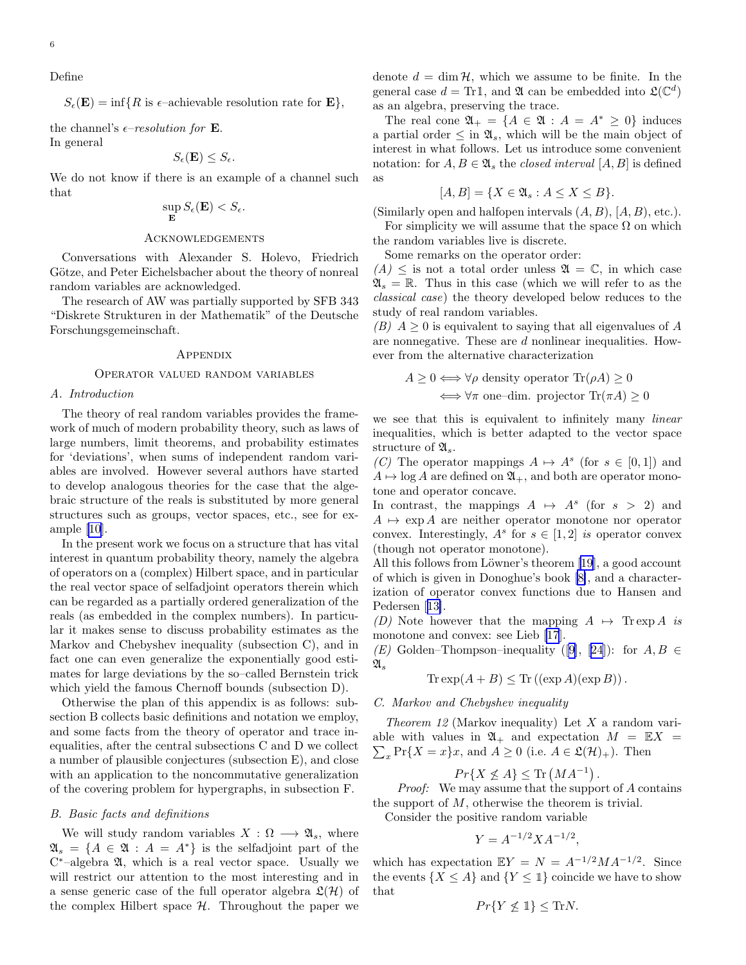<span id="page-5-0"></span>Define

 $S_{\epsilon}(\mathbf{E}) = \inf \{ R \text{ is } \epsilon\text{-achievable resolution rate for } \mathbf{E} \},\$ 

the channel's  $\epsilon$ –*resolution for* **E**. In general

$$
S_{\epsilon}(\mathbf{E}) \leq S_{\epsilon}.
$$

We do not know if there is an example of a channel such that

$$
\sup_{\mathbf{E}} S_{\epsilon}(\mathbf{E}) < S_{\epsilon}.
$$

#### **ACKNOWLEDGEMENTS**

Conversations with Alexander S. Holevo, Friedrich Götze, and Peter Eichelsbacher about the theory of nonreal random variables are acknowledged.

The research of AW was partially supported by SFB 343 "Diskrete Strukturen in der Mathematik" of the Deutsche Forschungsgemeinschaft.

#### **APPENDIX**

#### Operator valued random variables

#### *A. Introduction*

The theory of real random variables provides the framework of much of modern probability theory, such as laws of large numbers, limit theorems, and probability estimates for 'deviations', when sums of independent random variables are involved. However several authors have started to develop analogous theories for the case that the algebraic structure of the reals is substituted by more general structures such as groups, vector spaces, etc., see for example[[10](#page-9-0)].

In the present work we focus on a structure that has vital interest in quantum probability theory, namely the algebra of operators on a (complex) Hilbert space, and in particular the real vector space of selfadjoint operators therein which can be regarded as a partially ordered generalization of the reals (as embedded in the complex numbers). In particular it makes sense to discuss probability estimates as the Markov and Chebyshev inequality (subsection C), and in fact one can even generalize the exponentially good estimates for large deviations by the so–called Bernstein trick which yield the famous Chernoff bounds (subsection D).

Otherwise the plan of this appendix is as follows: subsection B collects basic definitions and notation we employ, and some facts from the theory of operator and trace inequalities, after the central subsections C and D we collect a number of plausible conjectures (subsection E), and close with an application to the noncommutative generalization of the covering problem for hypergraphs, in subsection F.

## *B. Basic facts and definitions*

We will study random variables  $X : \Omega \longrightarrow \mathfrak{A}_s$ , where  $\mathfrak{A}_s = \{A \in \mathfrak{A} : A = A^*\}\$ is the selfadjoint part of the C <sup>∗</sup>–algebra A, which is a real vector space. Usually we will restrict our attention to the most interesting and in a sense generic case of the full operator algebra  $\mathfrak{L}(\mathcal{H})$  of the complex Hilbert space  $H$ . Throughout the paper we denote  $d = \dim \mathcal{H}$ , which we assume to be finite. In the general case  $d = \text{Tr} \mathbb{1}$ , and  $\mathfrak{A}$  can be embedded into  $\mathfrak{L}(\mathbb{C}^d)$ as an algebra, preserving the trace.

The real cone  $\mathfrak{A}_{+} = \{A \in \mathfrak{A} : A = A^* \geq 0\}$  induces a partial order  $\leq$  in  $\mathfrak{A}_s$ , which will be the main object of interest in what follows. Let us introduce some convenient notation: for  $A, B \in \mathfrak{A}$ , the *closed interval* [A, B] is defined as

$$
[A, B] = \{ X \in \mathfrak{A}_s : A \le X \le B \}.
$$

(Similarly open and halfopen intervals  $(A, B)$ ,  $[A, B)$ , etc.).

For simplicity we will assume that the space  $\Omega$  on which the random variables live is discrete.

Some remarks on the operator order:

 $(A) \leq$  is not a total order unless  $\mathfrak{A} = \mathbb{C}$ , in which case  $\mathfrak{A}_s = \mathbb{R}$ . Thus in this case (which we will refer to as the *classical case*) the theory developed below reduces to the study of real random variables.

*(B)*  $A \geq 0$  is equivalent to saying that all eigenvalues of A are nonnegative. These are d nonlinear inequalities. However from the alternative characterization

$$
A \ge 0 \iff \forall \rho \text{ density operator } \text{Tr}(\rho A) \ge 0
$$
  

$$
\iff \forall \pi \text{ one-dim. projector } \text{Tr}(\pi A) \ge 0
$$

we see that this is equivalent to infinitely many *linear* inequalities, which is better adapted to the vector space structure of  $\mathfrak{A}_s$ .

(C) The operator mappings  $A \mapsto A^s$  (for  $s \in [0,1]$ ) and  $A \mapsto \log A$  are defined on  $\mathfrak{A}_+$ , and both are operator monotone and operator concave.

In contrast, the mappings  $A \mapsto A^s$  (for  $s > 2$ ) and  $A \mapsto \exp A$  are neither operator monotone nor operator convex. Interestingly,  $A^s$  for  $s \in [1,2]$  *is* operator convex (though not operator monotone).

Allthis follows from Löwner's theorem [[19\]](#page-9-0), a good account of which is given in Donoghue's book [\[8\]](#page-9-0), and a characterization of operator convex functions due to Hansen and Pedersen[[13\]](#page-9-0).

*(D)* Note however that the mapping  $A \mapsto \text{Tr} \exp A$  *is* monotone and convex: see Lieb [\[17](#page-9-0)].

*(E)* Golden–Thompson–inequality ([\[9](#page-9-0)], [\[24](#page-9-0)]): for  $A, B \in$  $\mathfrak{A}_s$ 

$$
\operatorname{Tr} \exp(A+B) \leq \operatorname{Tr} ((\exp A)(\exp B)).
$$

## *C. Markov and Chebyshev inequality*

*Theorem 12* (Markov inequality) Let X a random variable with values in  $\mathfrak{A}_+$  and expectation  $M = \mathbb{E} X =$  $\sum_{x} \Pr\{X = x\}$ *x*, and  $A \ge 0$  (i.e.  $A \in \mathfrak{L}(\mathcal{H})$ <sub>+</sub>). Then

$$
Pr\{X \nleq A\} \leq \text{Tr}\left(MA^{-1}\right).
$$

*Proof:* We may assume that the support of A contains the support of  $M$ , otherwise the theorem is trivial.

Consider the positive random variable

$$
Y = A^{-1/2} X A^{-1/2},
$$

which has expectation  $EY = N = A^{-1/2} M A^{-1/2}$ . Since the events  $\{X \leq A\}$  and  $\{Y \leq \mathbb{I}\}$  coincide we have to show that

$$
Pr\{Y \le 1\} \le \text{Tr}N.
$$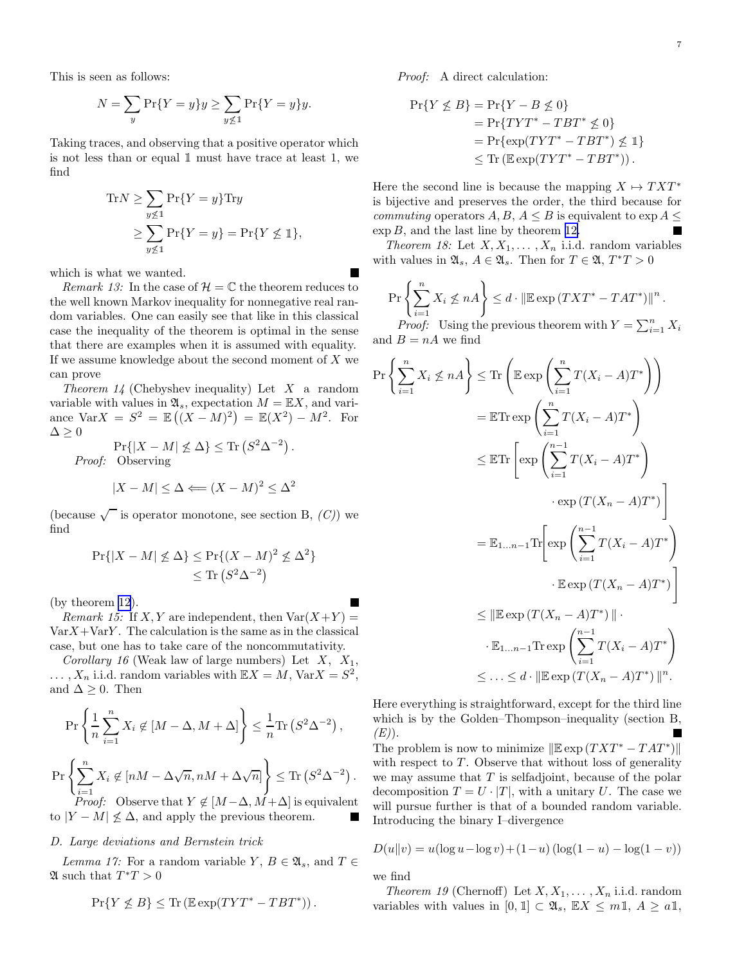<span id="page-6-0"></span>This is seen as follows:

$$
N = \sum_{y} \Pr\{Y = y\} y \ge \sum_{y \not\le 1} \Pr\{Y = y\} y.
$$

Taking traces, and observing that a positive operator which is not less than or equal <sup>1</sup> must have trace at least 1, we find

$$
\mathrm{Tr} N \ge \sum_{y \le 1} \mathrm{Pr}\{Y = y\} \mathrm{Tr} y
$$
  
 
$$
\ge \sum_{y \le 1} \mathrm{Pr}\{Y = y\} = \mathrm{Pr}\{Y \nleq 1\},
$$

which is what we wanted.

*Remark 13:* In the case of  $\mathcal{H} = \mathbb{C}$  the theorem reduces to the well known Markov inequality for nonnegative real random variables. One can easily see that like in this classical case the inequality of the theorem is optimal in the sense that there are examples when it is assumed with equality. If we assume knowledge about the second moment of  $X$  we can prove

*Theorem 14* (Chebyshev inequality) Let X a random variable with values in  $\mathfrak{A}_s$ , expectation  $M = \mathbb{E}X$ , and variance  $\text{Var}X = S^2 = \mathbb{E}((X - M)^2) = \mathbb{E}(X^2) - M^2$ . For  $\Delta \geq 0$ 

$$
\Pr\{|X - M| \nleq \Delta\} \leq \text{Tr}\left(S^2 \Delta^{-2}\right).
$$
  
*Proof:* Observing

$$
|X - M| \le \Delta \Longleftarrow (X - M)^2 \le \Delta^2
$$

(because  $\sqrt{\ }$  is operator monotone, see section B,  $(C)$ ) we find

$$
\Pr\{|X - M| \nleq \Delta\} \leq \Pr\{(X - M)^2 \nleq \Delta^2\} \leq \Pr(S^2 \Delta^{-2})
$$

(by theorem [12](#page-5-0)).

*Remark 15:* If X, Y are independent, then  $Var(X+Y)$  =  $Var X + Var Y$ . The calculation is the same as in the classical case, but one has to take care of the noncommutativity.

*Corollary 16* (Weak law of large numbers) Let  $X$ ,  $X_1$ ,  $\ldots$ ,  $X_n$  i.i.d. random variables with  $\mathbb{E}X = M$ ,  $\text{Var}X = S^2$ , and  $\Delta \geq 0$ . Then

$$
\Pr\left\{\frac{1}{n}\sum_{i=1}^{n}X_{i}\notin\left[M-\Delta,M+\Delta\right]\right\}\le\frac{1}{n}\text{Tr}\left(S^{2}\Delta^{-2}\right),
$$
\n
$$
\Pr\left\{\sum_{i=1}^{n}X_{i}\notin\left[nM-\Delta\sqrt{n},nM+\Delta\sqrt{n}\right]\right\}\le\text{Tr}\left(S^{2}\Delta^{-2}\right).
$$
\n*Proof:* Observe that  $Y\notin\left[M-\Delta,M+\Delta\right]$  is equivalent

to  $|Y - M| \nleq \Delta$ , and apply the previous theorem.

#### *D. Large deviations and Bernstein trick*

*Lemma 17:* For a random variable  $Y, B \in \mathfrak{A}_s$ , and  $T \in$  $\mathfrak A$  such that  $T^*T > 0$ 

$$
\Pr\{Y \nleq B\} \leq \text{Tr}\left(\mathbb{E}\exp(TYT^* - TBT^*)\right).
$$

*Proof:* A direct calculation:

$$
\Pr\{Y \nleq B\} = \Pr\{Y - B \nleq 0\} \\
= \Pr\{TYT^* - TBT^* \nleq 0\} \\
= \Pr\{\exp(TYT^* - TBT^*) \nleq 1\} \\
\leq \Pr\left(\mathbb{E}\exp(TYT^* - TBT^*)\right).
$$

Here the second line is because the mapping  $X \mapsto TXT^*$ is bijective and preserves the order, the third because for *commuting* operators A, B,  $A \leq B$  is equivalent to  $\exp A \leq$  $\exp B$ , and the last line by theorem [12.](#page-5-0)

*Theorem 18:* Let  $X, X_1, \ldots, X_n$  i.i.d. random variables with values in  $\mathfrak{A}_s$ ,  $A \in \mathfrak{A}_s$ . Then for  $T \in \mathfrak{A}, T^*T > 0$ 

$$
\Pr\left\{\sum_{i=1}^{n} X_i \nleq nA\right\} \leq d \cdot \left\|\mathbb{E} \exp\left(TXT^* - TAT^*\right)\right\|^n.
$$

*Proof:* Using the previous theorem with  $Y = \sum_{i=1}^{n} X_i$ and  $B = nA$  we find

$$
\Pr\left\{\sum_{i=1}^{n} X_i \not\le nA\right\} \le \Pr\left(\mathbb{E} \exp\left(\sum_{i=1}^{n} T(X_i - A)T^*\right)\right)
$$
  
\n
$$
= \mathbb{E} \text{Tr} \exp\left(\sum_{i=1}^{n} T(X_i - A)T^*\right)
$$
  
\n
$$
\le \mathbb{E} \text{Tr}\left[\exp\left(\sum_{i=1}^{n-1} T(X_i - A)T^*\right)\right]
$$
  
\n
$$
\cdot \exp\left(T(X_n - A)T^*\right)
$$
  
\n
$$
= \mathbb{E}_{1...n-1} \text{Tr}\left[\exp\left(\sum_{i=1}^{n-1} T(X_i - A)T^*\right)\right]
$$
  
\n
$$
\le \|\mathbb{E} \exp\left(T(X_n - A)T^*\right)\| \cdot
$$
  
\n
$$
\cdot \mathbb{E}_{1...n-1} \text{Tr} \exp\left(\sum_{i=1}^{n-1} T(X_i - A)T^*\right)
$$

$$
\leq \ldots \leq d \cdot ||\mathbb{E} \exp(T(X_n - A)T^*)||^n.
$$

Here everything is straightforward, except for the third line which is by the Golden–Thompson–inequality (section B, *(E)*).

The problem is now to minimize  $\|\mathbb{E} \exp(TXT^* - TAT^*)\|$ with respect to  $T$ . Observe that without loss of generality we may assume that  $T$  is selfadjoint, because of the polar decomposition  $T = U \cdot |T|$ , with a unitary U. The case we will pursue further is that of a bounded random variable. Introducing the binary I–divergence

$$
D(u||v) = u(\log u - \log v) + (1 - u)(\log(1 - u) - \log(1 - v))
$$

we find

**In the Second State** 

*Theorem 19* (Chernoff) Let  $X, X_1, \ldots, X_n$  i.i.d. random variables with values in  $[0, 1] \subset \mathfrak{A}_s$ ,  $\mathbb{E} X \leq m \mathbb{1}, A \geq a \mathbb{1},$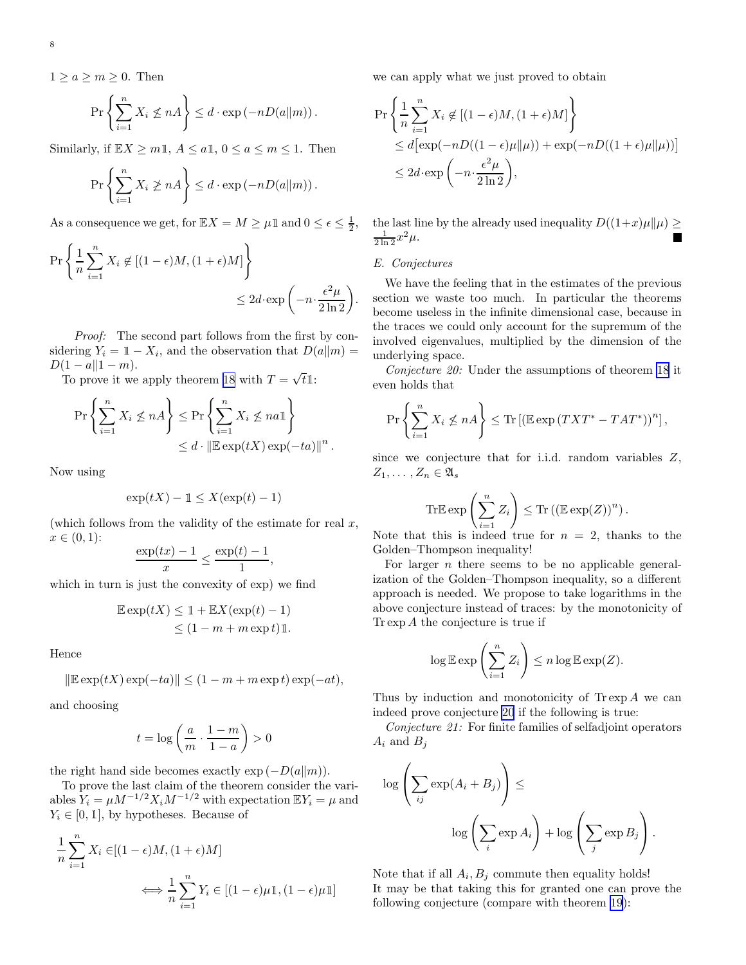<span id="page-7-0"></span> $1 \ge a \ge m \ge 0$ . Then

$$
\Pr\left\{\sum_{i=1}^n X_i \nleq nA\right\} \leq d \cdot \exp\left(-nD(a||m)\right).
$$

Similarly, if  $\mathbb{E}X \geq m\mathbb{1}$ ,  $A \leq a\mathbb{1}$ ,  $0 \leq a \leq m \leq 1$ . Then

$$
\Pr\left\{\sum_{i=1}^n X_i \ge nA\right\} \le d \cdot \exp\left(-nD(a||m)\right).
$$

As a consequence we get, for  $\mathbb{E}X = M \geq \mu \mathbb{1}$  and  $0 \leq \epsilon \leq \frac{1}{2}$ ,

$$
\Pr\left\{\frac{1}{n}\sum_{i=1}^{n}X_{i}\notin[(1-\epsilon)M,(1+\epsilon)M]\right\}
$$
  

$$
\leq 2d\cdot\exp\left(-n\cdot\frac{\epsilon^{2}\mu}{2\ln 2}\right).
$$

*Proof:* The second part follows from the first by considering  $Y_i = \mathbb{1} - X_i$ , and the observation that  $D(a||m) =$  $D(1 - a||1 - m).$ 

To prove it we apply theorem [18](#page-6-0) with  $T = \sqrt{t} \mathbb{1}$ :

$$
\Pr\left\{\sum_{i=1}^{n} X_i \nleq nA\right\} \leq \Pr\left\{\sum_{i=1}^{n} X_i \nleq na1\right\}
$$

$$
\leq d \cdot \|\mathbb{E} \exp(tX) \exp(-ta)\|^n.
$$

Now using

$$
\exp(tX) - 1 \le X(\exp(t) - 1)
$$

(which follows from the validity of the estimate for real  $x$ ,  $x \in (0,1)$ :

$$
\frac{\exp(tx) - 1}{x} \le \frac{\exp(t) - 1}{1},
$$

which in turn is just the convexity of exp) we find

$$
\mathbb{E}\exp(tX) \leq 1 + \mathbb{E}X(\exp(t) - 1)
$$
  

$$
\leq (1 - m + m\exp t)\mathbb{1}.
$$

Hence

$$
\|\mathbb{E}\exp(tX)\exp(-ta)\| \le (1 - m + m\exp t)\exp(-at),
$$

and choosing

$$
t = \log\left(\frac{a}{m} \cdot \frac{1-m}{1-a}\right) > 0
$$

the right hand side becomes exactly  $\exp(-D(a||m))$ .

To prove the last claim of the theorem consider the variables  $Y_i = \mu M^{-1/2} X_i M^{-1/2}$  with expectation  $E Y_i = \mu$  and  $Y_i \in [0, 1]$ , by hypotheses. Because of

$$
\frac{1}{n} \sum_{i=1}^{n} X_i \in [(1 - \epsilon)M, (1 + \epsilon)M]
$$
  

$$
\iff \frac{1}{n} \sum_{i=1}^{n} Y_i \in [(1 - \epsilon)\mu \mathbb{1}, (1 - \epsilon)\mu \mathbb{1}]
$$

we can apply what we just proved to obtain

$$
\Pr\left\{\frac{1}{n}\sum_{i=1}^{n} X_i \notin \left[(1-\epsilon)M, (1+\epsilon)M\right]\right\}
$$
  
\n
$$
\leq d\left[\exp(-nD((1-\epsilon)\mu\|\mu)) + \exp(-nD((1+\epsilon)\mu\|\mu))\right]
$$
  
\n
$$
\leq 2d \cdot \exp\left(-n \cdot \frac{\epsilon^2 \mu}{2\ln 2}\right),
$$

the last line by the already used inequality  $D((1+x)\mu\|\mu) \ge \frac{1}{2\ln 2}x^2\mu$ .

## *E. Conjectures*

We have the feeling that in the estimates of the previous section we waste too much. In particular the theorems become useless in the infinite dimensional case, because in the traces we could only account for the supremum of the involved eigenvalues, multiplied by the dimension of the underlying space.

*Conjecture 20:* Under the assumptions of theorem [18](#page-6-0) it even holds that

$$
\Pr\left\{\sum_{i=1}^n X_i \nleq nA\right\} \leq \text{Tr}\left[\left(\mathbb{E}\exp\left(TXT^* - TAT^*\right)\right)^n\right],
$$

since we conjecture that for i.i.d. random variables Z,  $Z_1, \ldots, Z_n \in \mathfrak{A}_s$ 

$$
\mathrm{Tr}\mathbb{E}\exp\left(\sum_{i=1}^n Z_i\right) \leq \mathrm{Tr}\left(\left(\mathbb{E}\exp(Z)\right)^n\right).
$$

Note that this is indeed true for  $n = 2$ , thanks to the Golden–Thompson inequality!

For larger  $n$  there seems to be no applicable generalization of the Golden–Thompson inequality, so a different approach is needed. We propose to take logarithms in the above conjecture instead of traces: by the monotonicity of  $\text{Tr} \exp A$  the conjecture is true if

$$
\log \mathbb{E} \exp \left( \sum_{i=1}^n Z_i \right) \leq n \log \mathbb{E} \exp(Z).
$$

Thus by induction and monotonicity of  $T$ r exp  $A$  we can indeed prove conjecture 20 if the following is true:

*Conjecture 21:* For finite families of selfadjoint operators  $A_i$  and  $B_j$ 

$$
\log \left( \sum_{ij} \exp(A_i + B_j) \right) \le
$$
  

$$
\log \left( \sum_i \exp A_i \right) + \log \left( \sum_j \exp B_j \right).
$$

Note that if all  $A_i, B_j$  commute then equality holds! It may be that taking this for granted one can prove the following conjecture (compare with theorem [19](#page-6-0)):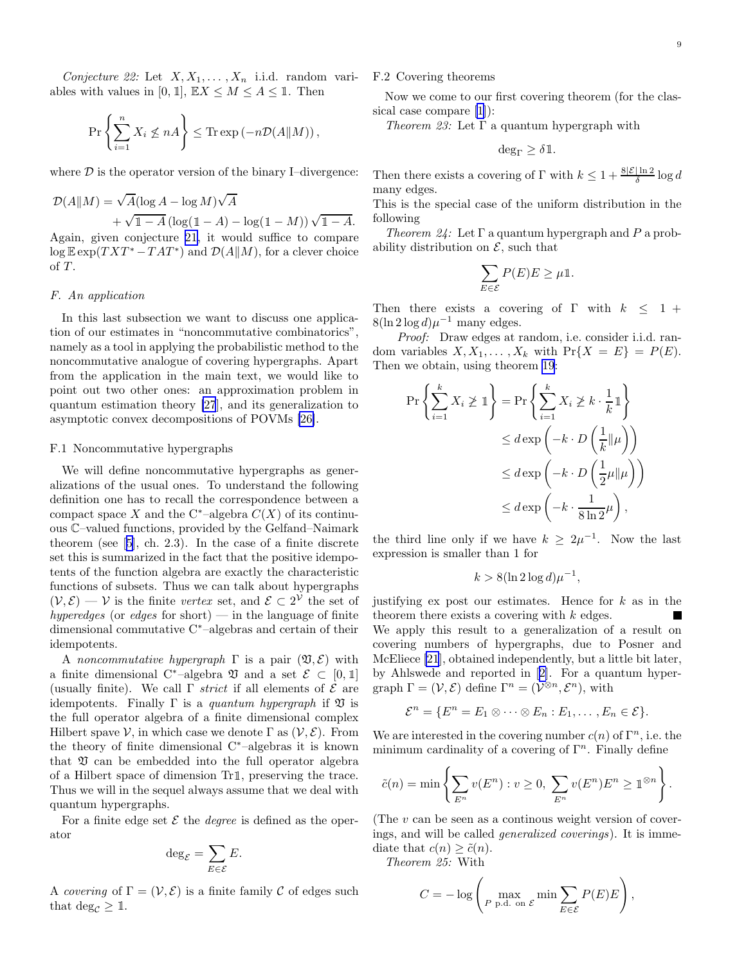<span id="page-8-0"></span>*Conjecture 22:* Let  $X, X_1, \ldots, X_n$  i.i.d. random variables with values in [0, 1],  $\mathbb{E}X \leq M \leq A \leq 1$ . Then

$$
\Pr\left\{\sum_{i=1}^n X_i \nleq nA\right\} \leq \text{Tr}\exp\left(-n\mathcal{D}(A||M)\right),\,
$$

where  $\mathcal D$  is the operator version of the binary I–divergence:

$$
\mathcal{D}(A||M) = \sqrt{A}(\log A - \log M)\sqrt{A}
$$
  
+  $\sqrt{1 - A}(\log(1 - A) - \log(1 - M))\sqrt{1 - A}.$   
Again, given conjecture 21, it would suffice to compare

 $\log \mathbb{E} \exp(TXT^* - TAT^*)$  and  $\mathcal{D}(A||M)$ , for a clever choice of  $T$ .

## *F. An application*

In this last subsection we want to discuss one application of our estimates in "noncommutative combinatorics", namely as a tool in applying the probabilistic method to the noncommutative analogue of covering hypergraphs. Apart from the application in the main text, we would like to point out two other ones: an approximation problem in quantum estimation theory [\[27](#page-10-0)], and its generalization to asymptotic convex decompositions of POVMs [\[26\]](#page-10-0).

## F.1 Noncommutative hypergraphs

We will define noncommutative hypergraphs as generalizations of the usual ones. To understand the following definition one has to recall the correspondence between a compact space X and the C<sup>∗</sup>–algebra  $C(X)$  of its continuous C–valued functions, provided by the Gelfand–Naimark theorem (see[[5\]](#page-9-0), ch. 2.3). In the case of a finite discrete set this is summarized in the fact that the positive idempotents of the function algebra are exactly the characteristic functions of subsets. Thus we can talk about hypergraphs  $(V, \mathcal{E}) - V$  is the finite *vertex* set, and  $\mathcal{E} \subset 2^V$  the set of *hyperedges* (or *edges* for short) — in the language of finite dimensional commutative C∗–algebras and certain of their idempotents.

A *noncommutative hypergraph*  $\Gamma$  is a pair  $(\mathfrak{V}, \mathcal{E})$  with a finite dimensional C<sup>∗</sup>–algebra  $\mathfrak V$  and a set  $\mathcal E \subset [0,1]$ (usually finite). We call  $\Gamma$  *strict* if all elements of  $\mathcal E$  are idempotents. Finally  $\Gamma$  is a *quantum hypergraph* if  $\mathfrak V$  is the full operator algebra of a finite dimensional complex Hilbert spave  $\mathcal V$ , in which case we denote  $\Gamma$  as  $(\mathcal V, \mathcal E)$ . From the theory of finite dimensional C∗–algebras it is known that  $\mathfrak V$  can be embedded into the full operator algebra of a Hilbert space of dimension Tr1, preserving the trace. Thus we will in the sequel always assume that we deal with quantum hypergraphs.

For a finite edge set  $\mathcal E$  the *degree* is defined as the operator

$$
\deg_{\mathcal{E}} = \sum_{E \in \mathcal{E}} E.
$$

A *covering* of  $\Gamma = (\mathcal{V}, \mathcal{E})$  is a finite family C of edges such that  $\deg_{\mathcal{C}} \geq \mathbb{1}$ .

F.2 Covering theorems

Now we come to our first covering theorem (for the classical case compare[[1\]](#page-9-0)):

*Theorem 23:* Let Γ a quantum hypergraph with

$$
\deg_{\Gamma} \ge \delta 1.
$$

Then there exists a covering of  $\Gamma$  with  $k \leq 1 + \frac{8|\mathcal{E}| \ln 2}{\delta} \log d$ many edges.

This is the special case of the uniform distribution in the following

*Theorem 24:* Let Γ a quantum hypergraph and P a probability distribution on  $\mathcal{E}$ , such that

$$
\sum_{E \in \mathcal{E}} P(E)E \ge \mu \mathbb{1}.
$$

Then there exists a covering of  $\Gamma$  with  $k \leq 1 +$  $8(\ln 2 \log d)\mu^{-1}$  many edges.

*Proof:* Draw edges at random, i.e. consider i.i.d. random variables  $X, X_1, \ldots, X_k$  with  $Pr\{X = E\} = P(E)$ . Then we obtain, using theorem [19](#page-6-0):

$$
\Pr\left\{\sum_{i=1}^{k} X_i \geq 1\right\} = \Pr\left\{\sum_{i=1}^{k} X_i \geq k \cdot \frac{1}{k}1\right\}
$$

$$
\leq d \exp\left(-k \cdot D\left(\frac{1}{k} || \mu\right)\right)
$$

$$
\leq d \exp\left(-k \cdot D\left(\frac{1}{2} \mu || \mu\right)\right)
$$

$$
\leq d \exp\left(-k \cdot \frac{1}{8 \ln 2} \mu\right),
$$

the third line only if we have  $k \geq 2\mu^{-1}$ . Now the last expression is smaller than 1 for

$$
k > 8(\ln 2 \log d)\mu^{-1},
$$

justifying ex post our estimates. Hence for  $k$  as in the theorem there exists a covering with k edges. П We apply this result to a generalization of a result on covering numbers of hypergraphs, due to Posner and McEliece [\[21](#page-9-0)], obtained independently, but a little bit later, by Ahlswede and reported in[[2\]](#page-9-0). For a quantum hypergraph  $\Gamma = (\mathcal{V}, \mathcal{E})$  define  $\Gamma^n = (\mathcal{V}^{\otimes n}, \mathcal{E}^n)$ , with

$$
\mathcal{E}^n = \{ E^n = E_1 \otimes \cdots \otimes E_n : E_1, \ldots, E_n \in \mathcal{E} \}.
$$

We are interested in the covering number  $c(n)$  of  $\Gamma^n$ , i.e. the minimum cardinality of a covering of  $\Gamma^n$ . Finally define

$$
\tilde{c}(n) = \min \left\{ \sum_{E^n} v(E^n) : v \ge 0, \sum_{E^n} v(E^n) E^n \ge \mathbb{1}^{\otimes n} \right\}.
$$

(The v can be seen as a continous weight version of coverings, and will be called *generalized coverings*). It is immediate that  $c(n) \geq \tilde{c}(n)$ .

*Theorem 25:* With

$$
C = -\log\left(\max_{P \text{ p.d. on } \mathcal{E}} \min \sum_{E \in \mathcal{E}} P(E)E\right),\,
$$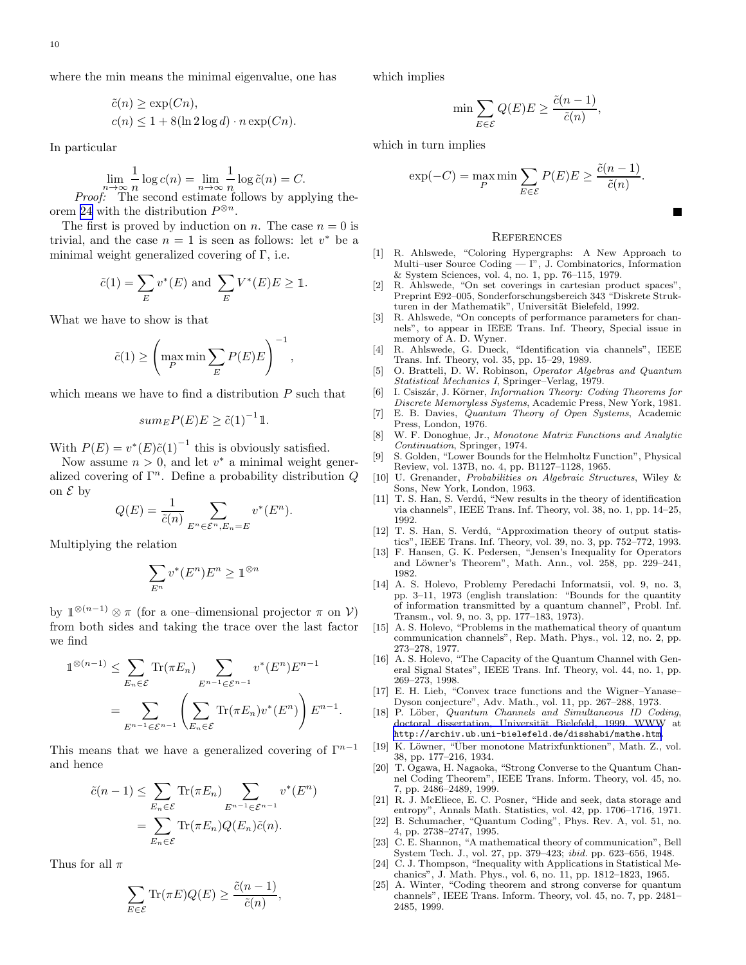<span id="page-9-0"></span>where the min means the minimal eigenvalue, one has

$$
\tilde{c}(n) \ge \exp(Cn),
$$
  
 
$$
c(n) \le 1 + 8(\ln 2 \log d) \cdot n \exp(Cn).
$$

In particular

$$
\lim_{n \to \infty} \frac{1}{n} \log c(n) = \lim_{n \to \infty} \frac{1}{n} \log \tilde{c}(n) = C.
$$

*Proof:* The second estimate follows by applying the-orem [24](#page-8-0) with the distribution  $P^{\otimes n}$ .

The first is proved by induction on n. The case  $n = 0$  is trivial, and the case  $n = 1$  is seen as follows: let  $v^*$  be a minimal weight generalized covering of Γ, i.e.

$$
\tilde{c}(1) = \sum_{E} v^*(E) \text{ and } \sum_{E} V^*(E)E \ge 1.
$$

What we have to show is that

$$
\tilde{c}(1) \ge \left(\max_P \min \sum_E P(E)E\right)^{-1},\,
$$

which means we have to find a distribution  $P$  such that

$$
sum_E P(E)E \ge \tilde{c}(1)^{-1} \mathbb{1}.
$$

With  $P(E) = v^*(E)\tilde{c}(1)^{-1}$  this is obviously satisfied.

Now assume  $n > 0$ , and let  $v^*$  a minimal weight generalized covering of  $\Gamma^n$ . Define a probability distribution  $Q$ on  $\mathcal E$  by

$$
Q(E) = \frac{1}{\tilde{c}(n)} \sum_{E^n \in \mathcal{E}^n, E_n = E} v^*(E^n).
$$

Multiplying the relation

$$
\sum_{E^n} v^*(E^n) E^n \geq \mathbb{1}^{\otimes n}
$$

by  $\mathbb{1}^{\otimes (n-1)} \otimes \pi$  (for a one–dimensional projector  $\pi$  on  $\mathcal{V}$ ) from both sides and taking the trace over the last factor we find

$$
\mathbb{1}^{\otimes (n-1)} \leq \sum_{E_n \in \mathcal{E}} \text{Tr}(\pi E_n) \sum_{E^{n-1} \in \mathcal{E}^{n-1}} v^*(E^n) E^{n-1}
$$

$$
= \sum_{E^{n-1} \in \mathcal{E}^{n-1}} \left( \sum_{E_n \in \mathcal{E}} \text{Tr}(\pi E_n) v^*(E^n) \right) E^{n-1}.
$$

This means that we have a generalized covering of  $\Gamma^{n-1}$ and hence

$$
\tilde{c}(n-1) \leq \sum_{E_n \in \mathcal{E}} \text{Tr}(\pi E_n) \sum_{E^{n-1} \in \mathcal{E}^{n-1}} v^*(E^n)
$$

$$
= \sum_{E_n \in \mathcal{E}} \text{Tr}(\pi E_n) Q(E_n) \tilde{c}(n).
$$

Thus for all  $\pi$ 

$$
\sum_{E \in \mathcal{E}} \text{Tr}(\pi E) Q(E) \ge \frac{\tilde{c}(n-1)}{\tilde{c}(n)},
$$

which implies

$$
\min \sum_{E \in \mathcal{E}} Q(E)E \ge \frac{\tilde{c}(n-1)}{\tilde{c}(n)},
$$

which in turn implies

$$
\exp(-C) = \max_{P} \min \sum_{E \in \mathcal{E}} P(E)E \ge \frac{\tilde{c}(n-1)}{\tilde{c}(n)}.
$$

#### **REFERENCES**

- [1] R. Ahlswede, "Coloring Hypergraphs: A New Approach to Multi–user Source Coding — I", J. Combinatorics, Information & System Sciences, vol. 4, no. 1, pp. 76–115, 1979.
- [2] R. Ahlswede, "On set coverings in cartesian product spaces", Preprint E92–005, Sonderforschungsbereich 343 "Diskrete Strukturen in der Mathematik", Universität Bielefeld, 1992.
- [3] R. Ahlswede, "On concepts of performance parameters for channels", to appear in IEEE Trans. Inf. Theory, Special issue in memory of A. D. Wyner.
- [4] R. Ahlswede, G. Dueck, "Identification via channels", IEEE Trans. Inf. Theory, vol. 35, pp. 15–29, 1989.
- [5] O. Bratteli, D. W. Robinson, *Operator Algebras and Quantum Statistical Mechanics I*, Springer–Verlag, 1979.
- [6] I. Csiszár, J. Körner, *Information Theory: Coding Theorems for Discrete Memoryless Systems*, Academic Press, New York, 1981.
- [7] E. B. Davies, *Quantum Theory of Open Systems*, Academic Press, London, 1976.
- [8] W. F. Donoghue, Jr., *Monotone Matrix Functions and Analytic Continuation*, Springer, 1974.
- [9] S. Golden, "Lower Bounds for the Helmholtz Function", Physical Review, vol. 137B, no. 4, pp. B1127–1128, 1965.
- [10] U. Grenander, *Probabilities on Algebraic Structures*, Wiley & Sons, New York, London, 1963.
- [11] T. S. Han, S. Verdú, "New results in the theory of identification via channels", IEEE Trans. Inf. Theory, vol. 38, no. 1, pp. 14–25, 1992.
- [12] T. S. Han, S. Verdú, "Approximation theory of output statistics", IEEE Trans. Inf. Theory, vol. 39, no. 3, pp. 752–772, 1993.
- [13] F. Hansen, G. K. Pedersen, "Jensen's Inequality for Operators and Löwner's Theorem", Math. Ann., vol. 258, pp. 229-241, 1982.
- [14] A. S. Holevo, Problemy Peredachi Informatsii, vol. 9, no. 3, pp. 3–11, 1973 (english translation: "Bounds for the quantity of information transmitted by a quantum channel", Probl. Inf. Transm., vol. 9, no. 3, pp. 177–183, 1973).
- [15] A. S. Holevo, "Problems in the mathematical theory of quantum communication channels", Rep. Math. Phys., vol. 12, no. 2, pp. 273–278, 1977.
- [16] A. S. Holevo, "The Capacity of the Quantum Channel with General Signal States", IEEE Trans. Inf. Theory, vol. 44, no. 1, pp. 269–273, 1998.
- [17] E. H. Lieb, "Convex trace functions and the Wigner–Yanase– Dyson conjecture", Adv. Math., vol. 11, pp. 267–288, 1973.
- [18] P. Löber, *Quantum Channels and Simultaneous ID Coding*, doctoral dissertation, Universität Bielefeld, 1999. WWW at <http://archiv.ub.uni-bielefeld.de/disshabi/mathe.htm>.
- K. Löwner, "Über monotone Matrixfunktionen", Math. Z., vol. 38, pp. 177–216, 1934.
- [20] T. Ogawa, H. Nagaoka, "Strong Converse to the Quantum Channel Coding Theorem", IEEE Trans. Inform. Theory, vol. 45, no. 7, pp. 2486–2489, 1999.
- [21] R. J. McEliece, E. C. Posner, "Hide and seek, data storage and entropy", Annals Math. Statistics, vol. 42, pp. 1706–1716, 1971.
- [22] B. Schumacher, "Quantum Coding", Phys. Rev. A, vol. 51, no. 4, pp. 2738–2747, 1995.
- [23] C. E. Shannon, "A mathematical theory of communication", Bell System Tech. J., vol. 27, pp. 379–423; *ibid.* pp. 623–656, 1948.
- [24] C. J. Thompson, "Inequality with Applications in Statistical Mechanics", J. Math. Phys., vol. 6, no. 11, pp. 1812–1823, 1965.
- [25] A. Winter, "Coding theorem and strong converse for quantum channels", IEEE Trans. Inform. Theory, vol. 45, no. 7, pp. 2481– 2485, 1999.